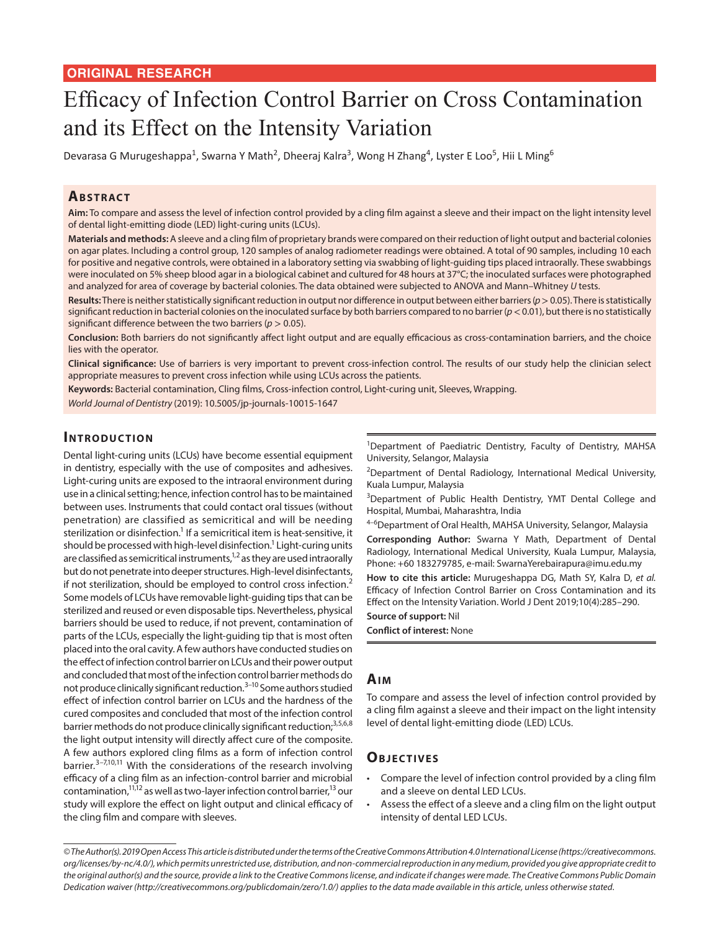# Efficacy of Infection Control Barrier on Cross Contamination and its Effect on the Intensity Variation

Devarasa G Murugeshappa<sup>1</sup>, Swarna Y Math<sup>2</sup>, Dheeraj Kalra<sup>3</sup>, Wong H Zhang<sup>4</sup>, Lyster E Loo<sup>5</sup>, Hii L Ming<sup>6</sup>

#### **ABSTRACT**

**Aim:** To compare and assess the level of infection control provided by a cling film against a sleeve and their impact on the light intensity level of dental light-emitting diode (LED) light-curing units (LCUs).

**Materials and methods:** A sleeve and a cling film of proprietary brands were compared on their reduction of light output and bacterial colonies on agar plates. Including a control group, 120 samples of analog radiometer readings were obtained. A total of 90 samples, including 10 each for positive and negative controls, were obtained in a laboratory setting via swabbing of light-guiding tips placed intraorally. These swabbings were inoculated on 5% sheep blood agar in a biological cabinet and cultured for 48 hours at 37°C; the inoculated surfaces were photographed and analyzed for area of coverage by bacterial colonies. The data obtained were subjected to ANOVA and Mann–Whitney *U* tests.

**Results:** There is neither statistically significant reduction in output nor difference in output between either barriers (*p*> 0.05). There is statistically significant reduction in bacterial colonies on the inoculated surface by both barriers compared to no barrier  $(p < 0.01)$ , but there is no statistically significant difference between the two barriers (*p* > 0.05).

**Conclusion:** Both barriers do not significantly affect light output and are equally efficacious as cross-contamination barriers, and the choice lies with the operator.

**Clinical significance:** Use of barriers is very important to prevent cross-infection control. The results of our study help the clinician select appropriate measures to prevent cross infection while using LCUs across the patients.

**Keywords:** Bacterial contamination, Cling films, Cross-infection control, Light-curing unit, Sleeves, Wrapping.

*World Journal of Dentistry* (2019): 10.5005/jp-journals-10015-1647

#### **INTRODUCTION**

Dental light-curing units (LCUs) have become essential equipment in dentistry, especially with the use of composites and adhesives. Light-curing units are exposed to the intraoral environment during use in a clinical setting; hence, infection control has to be maintained between uses. Instruments that could contact oral tissues (without penetration) are classified as semicritical and will be needing sterilization or disinfection. $^{\rm 1}$  If a semicritical item is heat-sensitive, it should be processed with high-level disinfection.<sup>1</sup> Light-curing units are classified as semicritical instruments,<sup>1,2</sup> as they are used intraorally but do not penetrate into deeper structures. High-level disinfectants, if not sterilization, should be employed to control cross infection.<sup>2</sup> Some models of LCUs have removable light-guiding tips that can be sterilized and reused or even disposable tips. Nevertheless, physical barriers should be used to reduce, if not prevent, contamination of parts of the LCUs, especially the light-guiding tip that is most often placed into the oral cavity. A few authors have conducted studies on the effect of infection control barrier on LCUs and their power output and concluded that most of the infection control barrier methods do not produce clinically significant reduction.3–10 Some authors studied effect of infection control barrier on LCUs and the hardness of the cured composites and concluded that most of the infection control barrier methods do not produce clinically significant reduction;<sup>3,5,6,8</sup> the light output intensity will directly affect cure of the composite. A few authors explored cling films as a form of infection control barrier.<sup>3-7,10,11</sup> With the considerations of the research involving efficacy of a cling film as an infection-control barrier and microbial contamination, $11,12$  as well as two-layer infection control barrier, $13$  our study will explore the effect on light output and clinical efficacy of the cling film and compare with sleeves.

<sup>1</sup>Department of Paediatric Dentistry, Faculty of Dentistry, MAHSA University, Selangor, Malaysia

<sup>2</sup>Department of Dental Radiology, International Medical University, Kuala Lumpur, Malaysia

<sup>3</sup>Department of Public Health Dentistry, YMT Dental College and Hospital, Mumbai, Maharashtra, India

<sup>4-6</sup>Department of Oral Health, MAHSA University, Selangor, Malaysia

**Corresponding Author:** Swarna Y Math, Department of Dental Radiology, International Medical University, Kuala Lumpur, Malaysia, Phone: +60 183279785, e-mail: SwarnaYerebairapura@imu.edu.my

**How to cite this article:** Murugeshappa DG, Math SY, Kalra D, *et al.* Efficacy of Infection Control Barrier on Cross Contamination and its Effect on the Intensity Variation. World J Dent 2019;10(4):285–290.

**Source of support:** Nil

**Conflict of interest:** None

#### **Aim**

To compare and assess the level of infection control provided by a cling film against a sleeve and their impact on the light intensity level of dental light-emitting diode (LED) LCUs.

### **OBJECTIVES**

- Compare the level of infection control provided by a cling film and a sleeve on dental LED LCUs.
- Assess the effect of a sleeve and a cling film on the light output intensity of dental LED LCUs.

*<sup>©</sup> The Author(s). 2019 Open Access This article is distributed under the terms of the Creative Commons Attribution 4.0 International License (https://creativecommons. org/licenses/by-nc/4.0/), which permits unrestricted use, distribution, and non-commercial reproduction in any medium, provided you give appropriate credit to the original author(s) and the source, provide a link to the Creative Commons license, and indicate if changes were made. The Creative Commons Public Domain Dedication waiver (http://creativecommons.org/publicdomain/zero/1.0/) applies to the data made available in this article, unless otherwise stated.*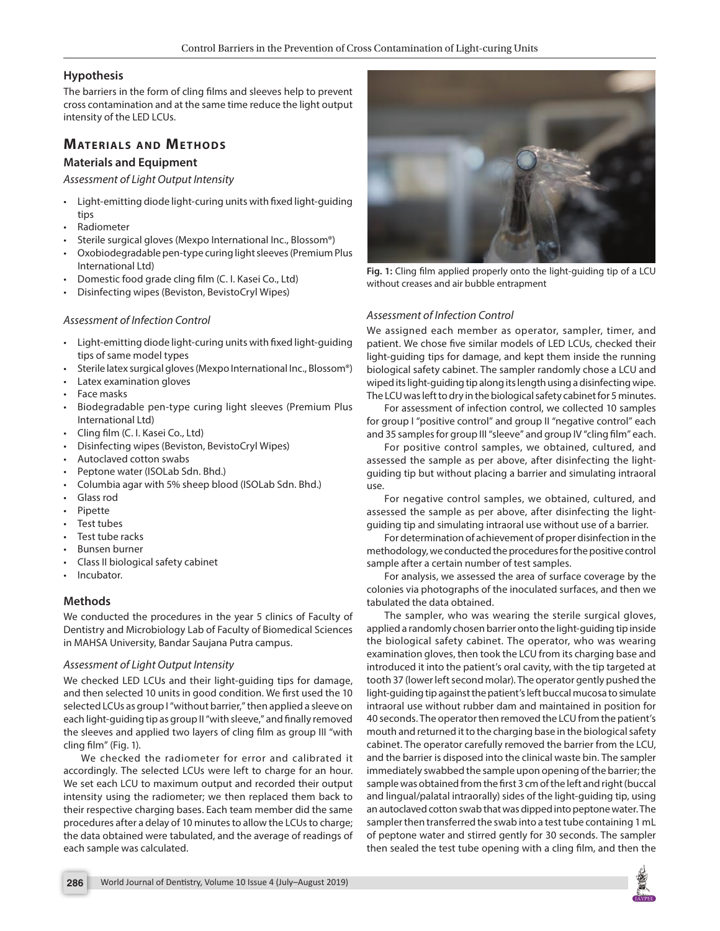#### **Hypothesis**

The barriers in the form of cling films and sleeves help to prevent cross contamination and at the same time reduce the light output intensity of the LED LCUs.

## **MATERIALS AND METHODS**

#### **Materials and Equipment**

*Assessment of Light Output Intensity*

- Light-emitting diode light-curing units with fixed light-guiding tips
- Radiometer
- Sterile surgical gloves (Mexpo International Inc., Blossom®)
- Oxobiodegradable pen-type curing light sleeves (Premium Plus International Ltd)
- Domestic food grade cling film (C. I. Kasei Co., Ltd)
- Disinfecting wipes (Beviston, BevistoCryl Wipes)

#### *Assessment of Infection Control*

- Light-emitting diode light-curing units with fixed light-guiding tips of same model types
- Sterile latex surgical gloves (Mexpo International Inc., Blossom®)
- Latex examination gloves
- Face masks
- Biodegradable pen-type curing light sleeves (Premium Plus International Ltd)
- Cling film (C. I. Kasei Co., Ltd)
- Disinfecting wipes (Beviston, BevistoCryl Wipes)
- Autoclaved cotton swabs
- Peptone water (ISOLab Sdn. Bhd.)
- Columbia agar with 5% sheep blood (ISOLab Sdn. Bhd.)
- Glass rod
- Pipette
- Test tubes
- Test tube racks
- Bunsen burner
- Class II biological safety cabinet
- Incubator.

#### **Methods**

We conducted the procedures in the year 5 clinics of Faculty of Dentistry and Microbiology Lab of Faculty of Biomedical Sciences in MAHSA University, Bandar Saujana Putra campus.

#### *Assessment of Light Output Intensity*

We checked LED LCUs and their light-guiding tips for damage, and then selected 10 units in good condition. We first used the 10 selected LCUs as group I "without barrier," then applied a sleeve on each light-guiding tip as group II "with sleeve," and finally removed the sleeves and applied two layers of cling film as group III "with cling film" (Fig. 1).

We checked the radiometer for error and calibrated it accordingly. The selected LCUs were left to charge for an hour. We set each LCU to maximum output and recorded their output intensity using the radiometer; we then replaced them back to their respective charging bases. Each team member did the same procedures after a delay of 10 minutes to allow the LCUs to charge; the data obtained were tabulated, and the average of readings of each sample was calculated.



**Fig. 1:** Cling film applied properly onto the light-guiding tip of a LCU without creases and air bubble entrapment

#### *Assessment of Infection Control*

We assigned each member as operator, sampler, timer, and patient. We chose five similar models of LED LCUs, checked their light-guiding tips for damage, and kept them inside the running biological safety cabinet. The sampler randomly chose a LCU and wiped its light-guiding tip along its length using a disinfecting wipe. The LCU was left to dry in the biological safety cabinet for 5 minutes.

For assessment of infection control, we collected 10 samples for group I "positive control" and group II "negative control" each and 35 samples for group III "sleeve" and group IV "cling film" each.

For positive control samples, we obtained, cultured, and assessed the sample as per above, after disinfecting the lightguiding tip but without placing a barrier and simulating intraoral use.

For negative control samples, we obtained, cultured, and assessed the sample as per above, after disinfecting the lightguiding tip and simulating intraoral use without use of a barrier.

For determination of achievement of proper disinfection in the methodology, we conducted the procedures for the positive control sample after a certain number of test samples.

For analysis, we assessed the area of surface coverage by the colonies via photographs of the inoculated surfaces, and then we tabulated the data obtained.

The sampler, who was wearing the sterile surgical gloves, applied a randomly chosen barrier onto the light-guiding tip inside the biological safety cabinet. The operator, who was wearing examination gloves, then took the LCU from its charging base and introduced it into the patient's oral cavity, with the tip targeted at tooth 37 (lower left second molar). The operator gently pushed the light-guiding tip against the patient's left buccal mucosa to simulate intraoral use without rubber dam and maintained in position for 40 seconds. The operator then removed the LCU from the patient's mouth and returned it to the charging base in the biological safety cabinet. The operator carefully removed the barrier from the LCU, and the barrier is disposed into the clinical waste bin. The sampler immediately swabbed the sample upon opening of the barrier; the sample was obtained from the first 3 cm of the left and right (buccal and lingual/palatal intraorally) sides of the light-guiding tip, using an autoclaved cotton swab that was dipped into peptone water. The sampler then transferred the swab into a test tube containing 1 mL of peptone water and stirred gently for 30 seconds. The sampler then sealed the test tube opening with a cling film, and then the

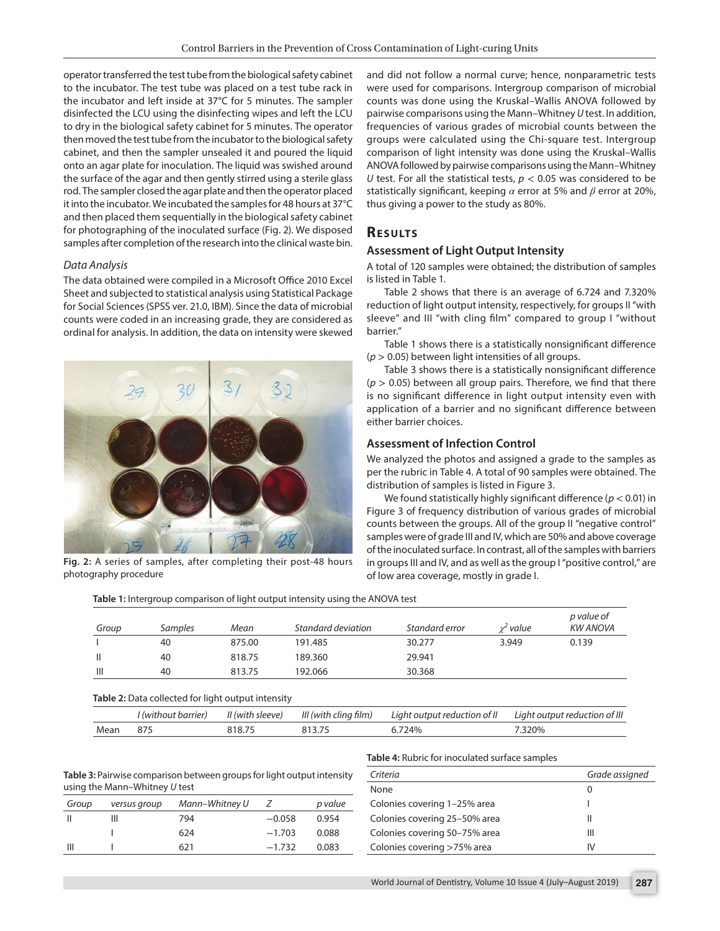operator transferred the test tube from the biological safety cabinet to the incubator. The test tube was placed on a test tube rack in the incubator and left inside at 37°C for 5 minutes. The sampler disinfected the LCU using the disinfecting wipes and left the LCU to dry in the biological safety cabinet for 5 minutes. The operator then moved the test tube from the incubator to the biological safety cabinet, and then the sampler unsealed it and poured the liquid onto an agar plate for inoculation. The liquid was swished around the surface of the agar and then gently stirred using a sterile glass rod. The sampler closed the agar plate and then the operator placed it into the incubator. We incubated the samples for 48 hours at 37°C and then placed them sequentially in the biological safety cabinet for photographing of the inoculated surface (Fig. 2). We disposed samples after completion of the research into the clinical waste bin.

#### *Data Analysis*

The data obtained were compiled in a Microsoft Office 2010 Excel Sheet and subjected to statistical analysis using Statistical Package for Social Sciences (SPSS ver. 21.0, IBM). Since the data of microbial counts were coded in an increasing grade, they are considered as ordinal for analysis. In addition, the data on intensity were skewed



**Fig. 2:** A series of samples, after completing their post-48 hours photography procedure

and did not follow a normal curve; hence, nonparametric tests were used for comparisons. Intergroup comparison of microbial counts was done using the Kruskal–Wallis ANOVA followed by pairwise comparisons using the Mann–Whitney *U* test. In addition, frequencies of various grades of microbial counts between the groups were calculated using the Chi-square test. Intergroup comparison of light intensity was done using the Kruskal–Wallis ANOVA followed by pairwise comparisons using the Mann–Whitney *U* test. For all the statistical tests,  $p < 0.05$  was considered to be statistically significant, keeping *α* error at 5% and *β* error at 20%, thus giving a power to the study as 80%.

#### **RESULTS**

#### **Assessment of Light Output Intensity**

A total of 120 samples were obtained; the distribution of samples is listed in Table 1.

Table 2 shows that there is an average of 6.724 and 7.320% reduction of light output intensity, respectively, for groups II "with sleeve" and III "with cling film" compared to group I "without barrier."

Table 1 shows there is a statistically nonsignificant difference (*p* > 0.05) between light intensities of all groups.

Table 3 shows there is a statistically nonsignificant difference  $(p > 0.05)$  between all group pairs. Therefore, we find that there is no significant difference in light output intensity even with application of a barrier and no significant difference between either barrier choices.

#### **Assessment of Infection Control**

We analyzed the photos and assigned a grade to the samples as per the rubric in Table 4. A total of 90 samples were obtained. The distribution of samples is listed in Figure 3.

We found statistically highly significant difference (*p* < 0.01) in Figure 3 of frequency distribution of various grades of microbial counts between the groups. All of the group II "negative control" samples were of grade III and IV, which are 50% and above coverage of the inoculated surface. In contrast, all of the samples with barriers in groups III and IV, and as well as the group I "positive control," are of low area coverage, mostly in grade I.

**Table 1:** Intergroup comparison of light output intensity using the ANOVA test

| Group          | Samples | Mean   | Standard deviation | Standard error | $\nu$ value | p value of<br><b>KW ANOVA</b> |
|----------------|---------|--------|--------------------|----------------|-------------|-------------------------------|
|                | 40      | 875.00 | 191.485            | 30.277         | 3.949       | 0.139                         |
|                | 40      | 818.75 | 189.360            | 29.941         |             |                               |
| $\mathbf{III}$ | 40      | 813.75 | 192.066            | 30.368         |             |                               |

#### **Table 2:** Data collected for light output intensity

|      | l (without barrier) | II (with sleeve) | III (with cling film) | Liaht output reduction of II | Liaht output reduction of III |
|------|---------------------|------------------|-----------------------|------------------------------|-------------------------------|
| Mean |                     |                  |                       | '74%                         | 320%                          |

**Table 3:** Pairwise comparison between groups for light output intensity using the Mann–Whitney *U* test

| Group | versus group | Mann-Whitney U |          | p value |
|-------|--------------|----------------|----------|---------|
|       |              | 794            | $-0.058$ | 0.954   |
|       |              | 624            | $-1.703$ | 0.088   |
| Ш     |              | 621            | $-1.732$ | 0.083   |

| Criteria                      | Grade assigned |
|-------------------------------|----------------|
| None                          | 0              |
| Colonies covering 1-25% area  |                |
| Colonies covering 25-50% area | Ш              |
| Colonies covering 50-75% area | Ш              |
| Colonies covering >75% area   | IV             |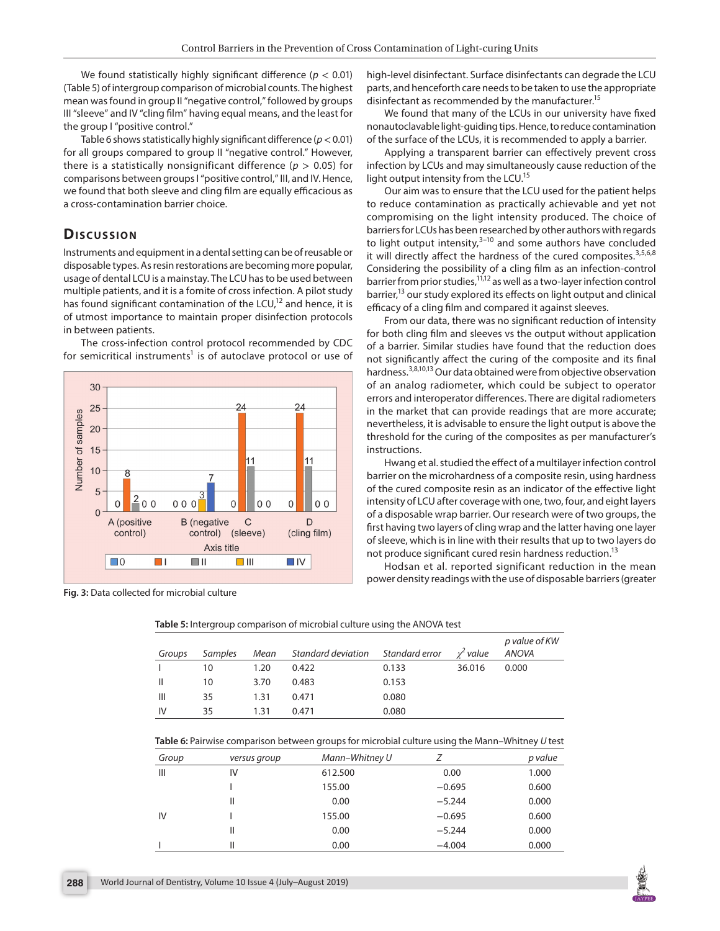We found statistically highly significant difference (*p* < 0.01) (Table 5) of intergroup comparison of microbial counts. The highest mean was found in group II "negative control," followed by groups III "sleeve" and IV "cling film" having equal means, and the least for the group I "positive control."

Table 6 shows statistically highly significant difference (*p*< 0.01) for all groups compared to group II "negative control." However, there is a statistically nonsignificant difference ( $p > 0.05$ ) for comparisons between groups I "positive control," III, and IV. Hence, we found that both sleeve and cling film are equally efficacious as a cross-contamination barrier choice.

## **Discussion**

Instruments and equipment in a dental setting can be of reusable or disposable types. As resin restorations are becoming more popular, usage of dental LCU is a mainstay. The LCU has to be used between multiple patients, and it is a fomite of cross infection. A pilot study has found significant contamination of the LCU, $12$  and hence, it is of utmost importance to maintain proper disinfection protocols in between patients.





**Fig. 3:** Data collected for microbial culture

high-level disinfectant. Surface disinfectants can degrade the LCU parts, and henceforth care needs to be taken to use the appropriate disinfectant as recommended by the manufacturer.<sup>15</sup>

We found that many of the LCUs in our university have fixed nonautoclavable light-guiding tips. Hence, to reduce contamination of the surface of the LCUs, it is recommended to apply a barrier.

Applying a transparent barrier can effectively prevent cross infection by LCUs and may simultaneously cause reduction of the light output intensity from the LCU.<sup>15</sup>

Our aim was to ensure that the LCU used for the patient helps to reduce contamination as practically achievable and yet not compromising on the light intensity produced. The choice of barriers for LCUs has been researched by other authors with regards to light output intensity, $3-10$  and some authors have concluded it will directly affect the hardness of the cured composites. $3,5,6,8$ Considering the possibility of a cling film as an infection-control barrier from prior studies,  $11,12$  as well as a two-layer infection control barrier,<sup>13</sup> our study explored its effects on light output and clinical efficacy of a cling film and compared it against sleeves.

From our data, there was no significant reduction of intensity for both cling film and sleeves vs the output without application of a barrier. Similar studies have found that the reduction does not significantly affect the curing of the composite and its final hardness.<sup>3,8,10,13</sup> Our data obtained were from objective observation of an analog radiometer, which could be subject to operator errors and interoperator differences. There are digital radiometers in the market that can provide readings that are more accurate; nevertheless, it is advisable to ensure the light output is above the threshold for the curing of the composites as per manufacturer's instructions.

Hwang et al. studied the effect of a multilayer infection control barrier on the microhardness of a composite resin, using hardness of the cured composite resin as an indicator of the effective light intensity of LCU after coverage with one, two, four, and eight layers of a disposable wrap barrier. Our research were of two groups, the first having two layers of cling wrap and the latter having one layer of sleeve, which is in line with their results that up to two layers do not produce significant cured resin hardness reduction.<sup>13</sup>

Hodsan et al. reported significant reduction in the mean power density readings with the use of disposable barriers (greater

| Groups | Samples | Mean | Standard deviation Standard error |       | $x^2$ value | p value of KW<br><b>ANOVA</b> |
|--------|---------|------|-----------------------------------|-------|-------------|-------------------------------|
|        | 10      | 1.20 | 0.422                             | 0.133 | 36.016      | 0.000                         |
| Ш      | 10      | 3.70 | 0.483                             | 0.153 |             |                               |
| Ш      | 35      | 1.31 | 0.471                             | 0.080 |             |                               |
| IV     | 35      | 1.31 | 0.471                             | 0.080 |             |                               |

**Table 5:** Intergroup comparison of microbial culture using the ANOVA test

**Table 6:** Pairwise comparison between groups for microbial culture using the Mann–Whitney *U* test

| Group | versus group | Mann-Whitney U |          | p value |
|-------|--------------|----------------|----------|---------|
| Ш     | IV           | 612.500        | 0.00     | 1.000   |
|       |              | 155.00         | $-0.695$ | 0.600   |
|       | Ш            | 0.00           | $-5.244$ | 0.000   |
| IV    |              | 155.00         | $-0.695$ | 0.600   |
|       | Ш            | 0.00           | $-5.244$ | 0.000   |
|       | Ш            | 0.00           | $-4.004$ | 0.000   |

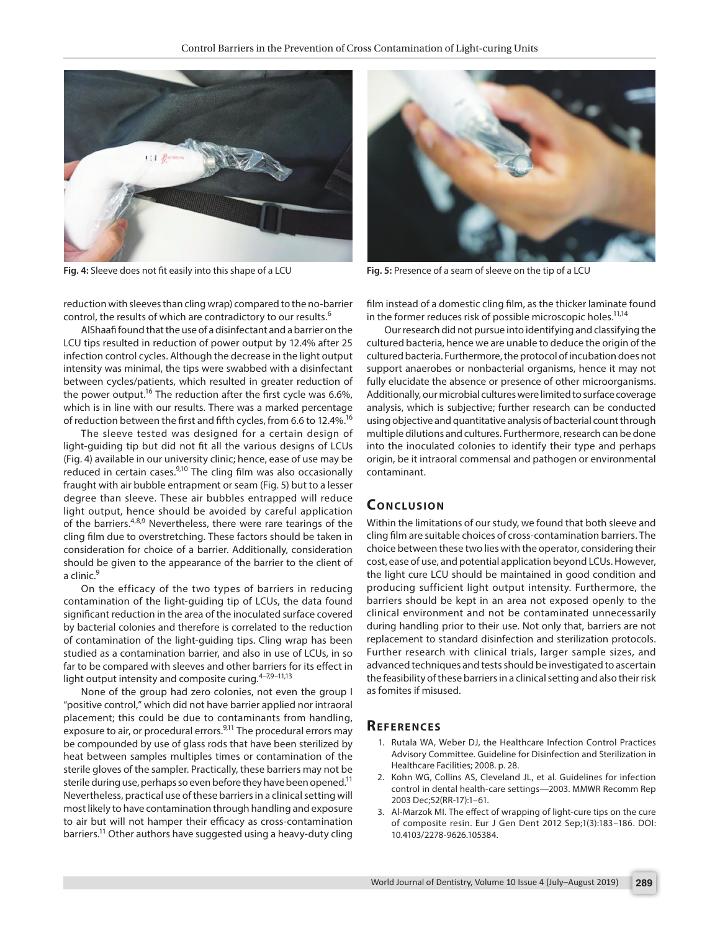

**Fig. 4:** Sleeve does not fit easily into this shape of a LCU **Fig. 5:** Presence of a seam of sleeve on the tip of a LCU

reduction with sleeves than cling wrap) compared to the no-barrier control, the results of which are contradictory to our results.<sup>6</sup>

AlShaafi found that the use of a disinfectant and a barrier on the LCU tips resulted in reduction of power output by 12.4% after 25 infection control cycles. Although the decrease in the light output intensity was minimal, the tips were swabbed with a disinfectant between cycles/patients, which resulted in greater reduction of the power output.<sup>16</sup> The reduction after the first cycle was 6.6%, which is in line with our results. There was a marked percentage of reduction between the first and fifth cycles, from 6.6 to 12.4%.<sup>16</sup>

The sleeve tested was designed for a certain design of light-guiding tip but did not fit all the various designs of LCUs (Fig. 4) available in our university clinic; hence, ease of use may be reduced in certain cases.<sup>9,10</sup> The cling film was also occasionally fraught with air bubble entrapment or seam (Fig. 5) but to a lesser degree than sleeve. These air bubbles entrapped will reduce light output, hence should be avoided by careful application of the barriers.<sup>4,8,9</sup> Nevertheless, there were rare tearings of the cling film due to overstretching. These factors should be taken in consideration for choice of a barrier. Additionally, consideration should be given to the appearance of the barrier to the client of a clinic.<sup>9</sup>

On the efficacy of the two types of barriers in reducing contamination of the light-guiding tip of LCUs, the data found significant reduction in the area of the inoculated surface covered by bacterial colonies and therefore is correlated to the reduction of contamination of the light-guiding tips. Cling wrap has been studied as a contamination barrier, and also in use of LCUs, in so far to be compared with sleeves and other barriers for its effect in light output intensity and composite curing. $4-7,9-11,13$ 

None of the group had zero colonies, not even the group I "positive control," which did not have barrier applied nor intraoral placement; this could be due to contaminants from handling, exposure to air, or procedural errors.<sup>9,11</sup> The procedural errors may be compounded by use of glass rods that have been sterilized by heat between samples multiples times or contamination of the sterile gloves of the sampler. Practically, these barriers may not be sterile during use, perhaps so even before they have been opened.<sup>11</sup> Nevertheless, practical use of these barriers in a clinical setting will most likely to have contamination through handling and exposure to air but will not hamper their efficacy as cross-contamination barriers.<sup>11</sup> Other authors have suggested using a heavy-duty cling



film instead of a domestic cling film, as the thicker laminate found in the former reduces risk of possible microscopic holes.<sup>11,14</sup>

Our research did not pursue into identifying and classifying the cultured bacteria, hence we are unable to deduce the origin of the cultured bacteria. Furthermore, the protocol of incubation does not support anaerobes or nonbacterial organisms, hence it may not fully elucidate the absence or presence of other microorganisms. Additionally, our microbial cultures were limited to surface coverage analysis, which is subjective; further research can be conducted using objective and quantitative analysis of bacterial count through multiple dilutions and cultures. Furthermore, research can be done into the inoculated colonies to identify their type and perhaps origin, be it intraoral commensal and pathogen or environmental contaminant.

#### **CONCLUSION**

Within the limitations of our study, we found that both sleeve and cling film are suitable choices of cross-contamination barriers. The choice between these two lies with the operator, considering their cost, ease of use, and potential application beyond LCUs. However, the light cure LCU should be maintained in good condition and producing sufficient light output intensity. Furthermore, the barriers should be kept in an area not exposed openly to the clinical environment and not be contaminated unnecessarily during handling prior to their use. Not only that, barriers are not replacement to standard disinfection and sterilization protocols. Further research with clinical trials, larger sample sizes, and advanced techniques and tests should be investigated to ascertain the feasibility of these barriers in a clinical setting and also their risk as fomites if misused.

#### **Re f e r e n c e s**

- 1. Rutala WA, Weber DJ, the Healthcare Infection Control Practices Advisory Committee. Guideline for Disinfection and Sterilization in Healthcare Facilities; 2008. p. 28.
- 2. Kohn WG, Collins AS, Cleveland JL, et al. Guidelines for infection control in dental health-care settings—2003. MMWR Recomm Rep 2003 Dec;52(RR-17):1–61.
- 3. Al-Marzok MI. The effect of wrapping of light-cure tips on the cure of composite resin. Eur J Gen Dent 2012 Sep;1(3):183–186. DOI: 10.4103/2278-9626.105384.